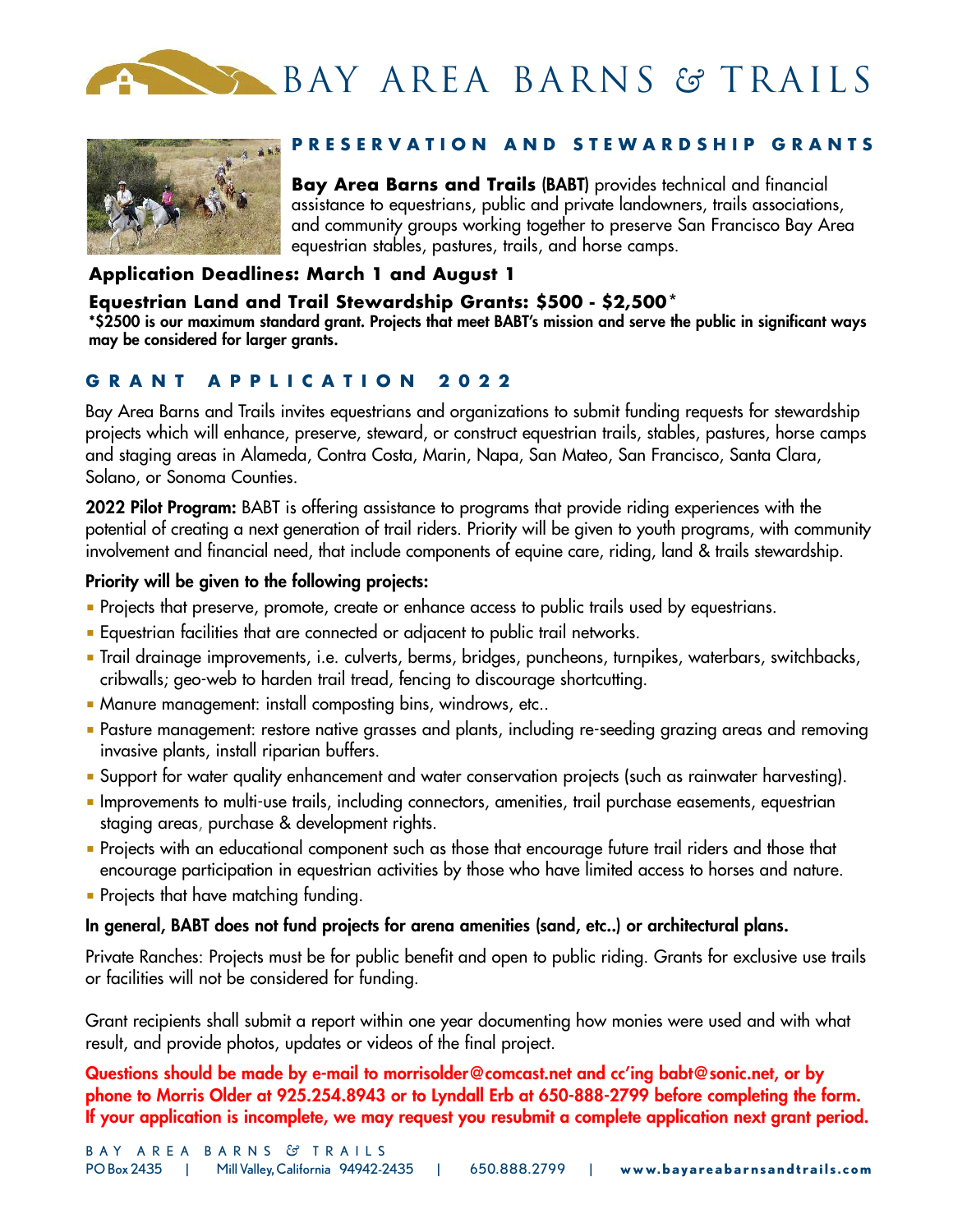



# PRESERVATION AND STEWARDSHIP GRANTS

**Bay Area Barns and Trails (BABT)** provides technical and financial assistance to equestrians, public and private landowners, trails associations, and community groups working together to preserve San Francisco Bay Area equestrian stables, pastures, trails, and horse camps.

# **Application Deadlines: March 1 and August 1**

## **Equestrian Land and Trail Stewardship Grants: \$500 - \$2,500\***

\*\$2500 is our maximum standard grant. Projects that meet BABT's mission and serve the public in significant ways **may be considered for larger grants.**

# **G R A N T A P P L I c A T I O N 2 0 2 2**

Bay Area Barns and Trails invites equestrians and organizations to submit funding requests for stewardship projects which will enhance, preserve, steward, or construct equestrian trails, stables, pastures, horse camps and staging areas in Alameda, Contra Costa, Marin, Napa, San Mateo, San Francisco, Santa Clara, Solano, or Sonoma Counties.

**2022 Pilot Program:** BABT is offering assistance to programs that provide riding experiences with the potential of creating a next generation of trail riders. Priority will be given to youth programs, with community involvement and financial need, that include components of equine care, riding, land & trails stewardship.

# **Priority will be given to the following projects:**

- Projects that preserve, promote, create or enhance access to public trails used by equestrians.
- Equestrian facilities that are connected or adjacent to public trail networks.
- Trail drainage improvements, i.e. culverts, berms, bridges, puncheons, turnpikes, waterbars, switchbacks, cribwalls; geo-web to harden trail tread, fencing to discourage shortcutting.
- Manure management: install composting bins, windrows, etc..
- Pasture management: restore native grasses and plants, including re-seeding grazing areas and removing invasive plants, install riparian buffers.
- Support for water quality enhancement and water conservation projects (such as rainwater harvesting).
- Improvements to multi-use trails, including connectors, amenities, trail purchase easements, equestrian staging areas, purchase & development rights.
- Projects with an educational component such as those that encourage future trail riders and those that encourage participation in equestrian activities by those who have limited access to horses and nature.
- Projects that have matching funding.

### **In general, BABT does not fund projects for arena amenities (sand, etc..) or architectural plans.**

Private Ranches: Projects must be for public benefit and open to public riding. Grants for exclusive use trails or facilities will not be considered for funding.

Grant recipients shall submit a report within one year documenting how monies were used and with what result, and provide photos, updates or videos of the final project.

**Questions should be made by e-mail to morrisolder@comcast.net and cc'ing babt@sonic.net, or by phone to Morris Older at 925.254.8943 or to Lyndall Erb at 650-888-2799 before completing the form. If your application is incomplete, we may request you resubmit a complete application next grant period.**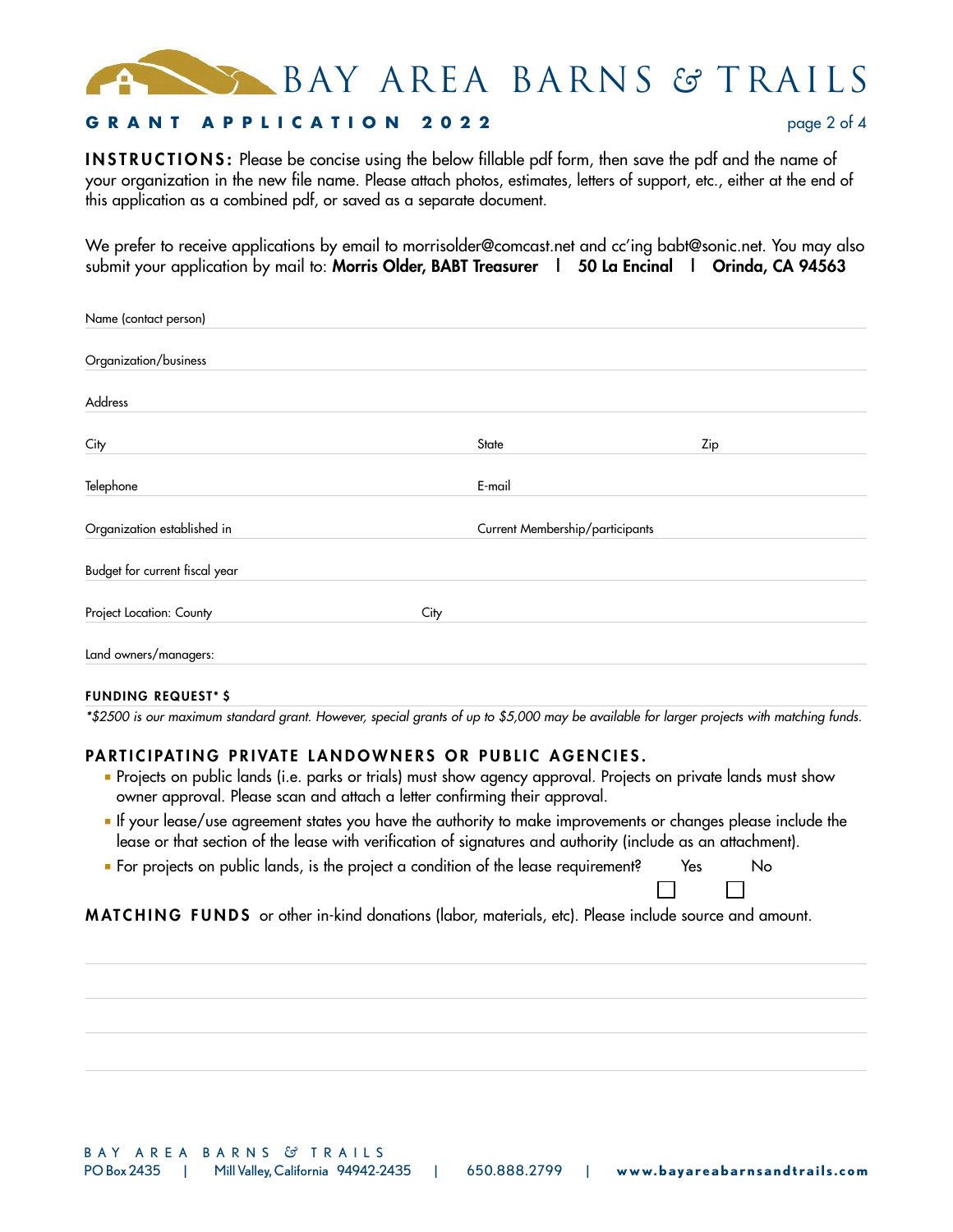BAY AREA BARNS *&* TRAILS

## **G R A N T A P P L I c A T I O N 2 0 2 2** page 2 of 4

**I N S T R U C T I O N S :** Please be concise using the below fillable pdf form, then save the pdf and the name of your organization in the new file name. Please attach photos, estimates, letters of support, etc., either at the end of this application as a combined pdf, or saved as a separate document.

We prefer to receive applications by email to morrisolder@comcast.net and cc'ing babt@sonic.net. You may also submit your application by mail to: **Morris Older, BABT Treasurer | 50 La Encinal | Orinda, CA 94563**

| Name (contact person)          |      |                                 |     |
|--------------------------------|------|---------------------------------|-----|
| Organization/business          |      |                                 |     |
| Address                        |      |                                 |     |
| City                           |      | State                           | Zip |
| Telephone                      |      | E-mail                          |     |
| Organization established in    |      | Current Membership/participants |     |
| Budget for current fiscal year |      |                                 |     |
| Project Location: County       | City |                                 |     |
| Land owners/managers:          |      |                                 |     |

#### **FUNDING REQUEST \* \$**

\*\$2500 is our maximum standard grant. However, special grants of up to \$5,000 may be available for larger projects with matching funds.

### PARTICIPATING PRIVATE LANDOWNERS OR PUBLIC AGENCIES.

- Projects on public lands (i.e. parks or trials) must show agency approval. Projects on private lands must show owner approval. Please scan and attach a letter confirming their approval.
- If your lease/use agreement states you have the authority to make improvements or changes please include the lease or that section of the lease with verification of signatures and authority (include as an attachment).
- For projects on public lands, is the project a condition of the lease requirement? Yes No

**M AT C H I N G F U N D S** or other in-kind donations (labor, materials, etc). Please include source and amount.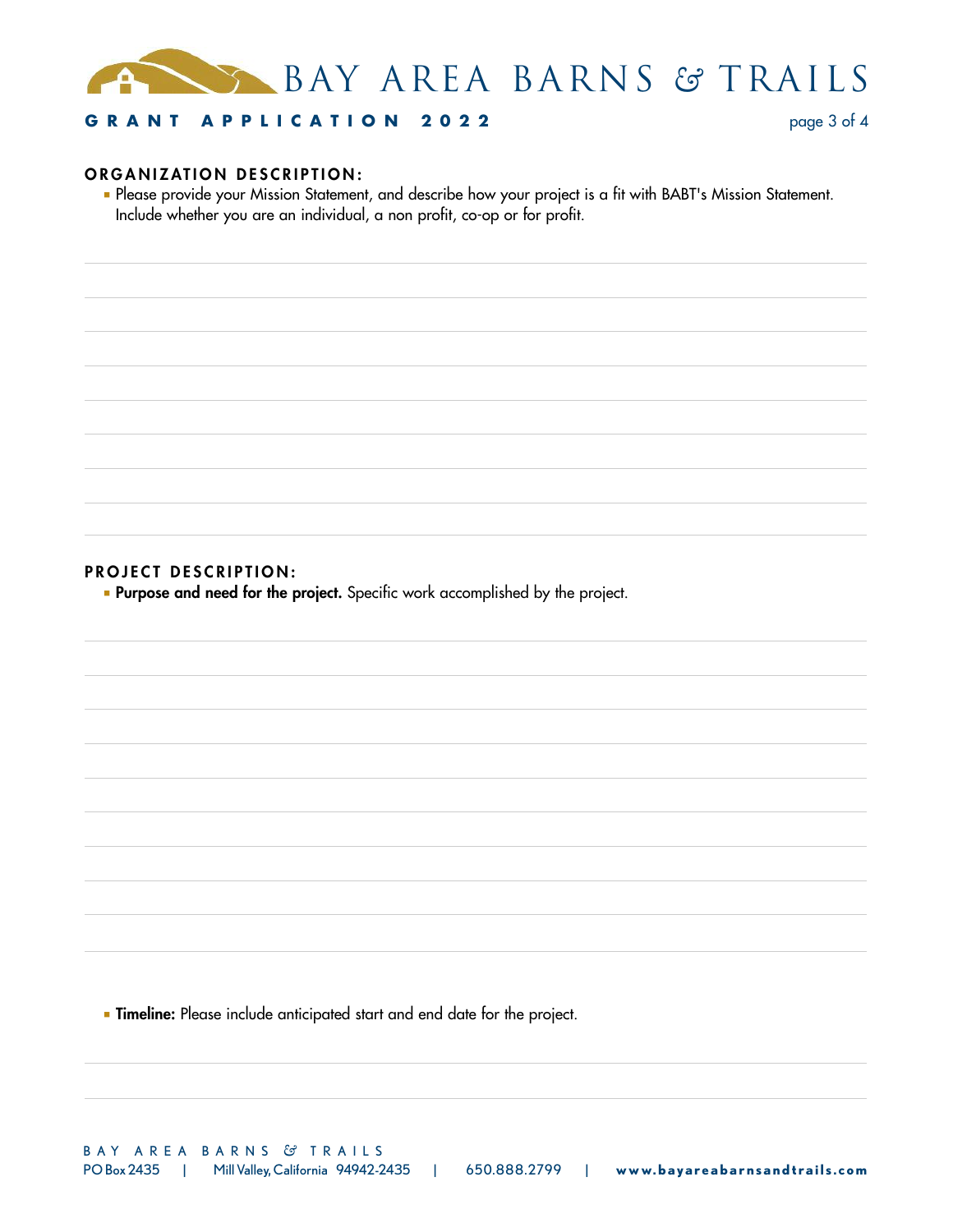

# **G R A N T A P P L I c A T I O N 2 0 2 2** page 3 of 4

### $O$ **RGANIZATION DESCRIPTION:**

■ Please provide your Mission Statement, and describe how your project is a fit with BABT's Mission Statement. Include whether you are an individual, a non profit, co-op or for profit.

### **PROJECT DESCRIPTION:**

■ **Purpose and need for the project.** Specific work accomplished by the project.

■ **Timeline:** Please include anticipated start and end date for the project.